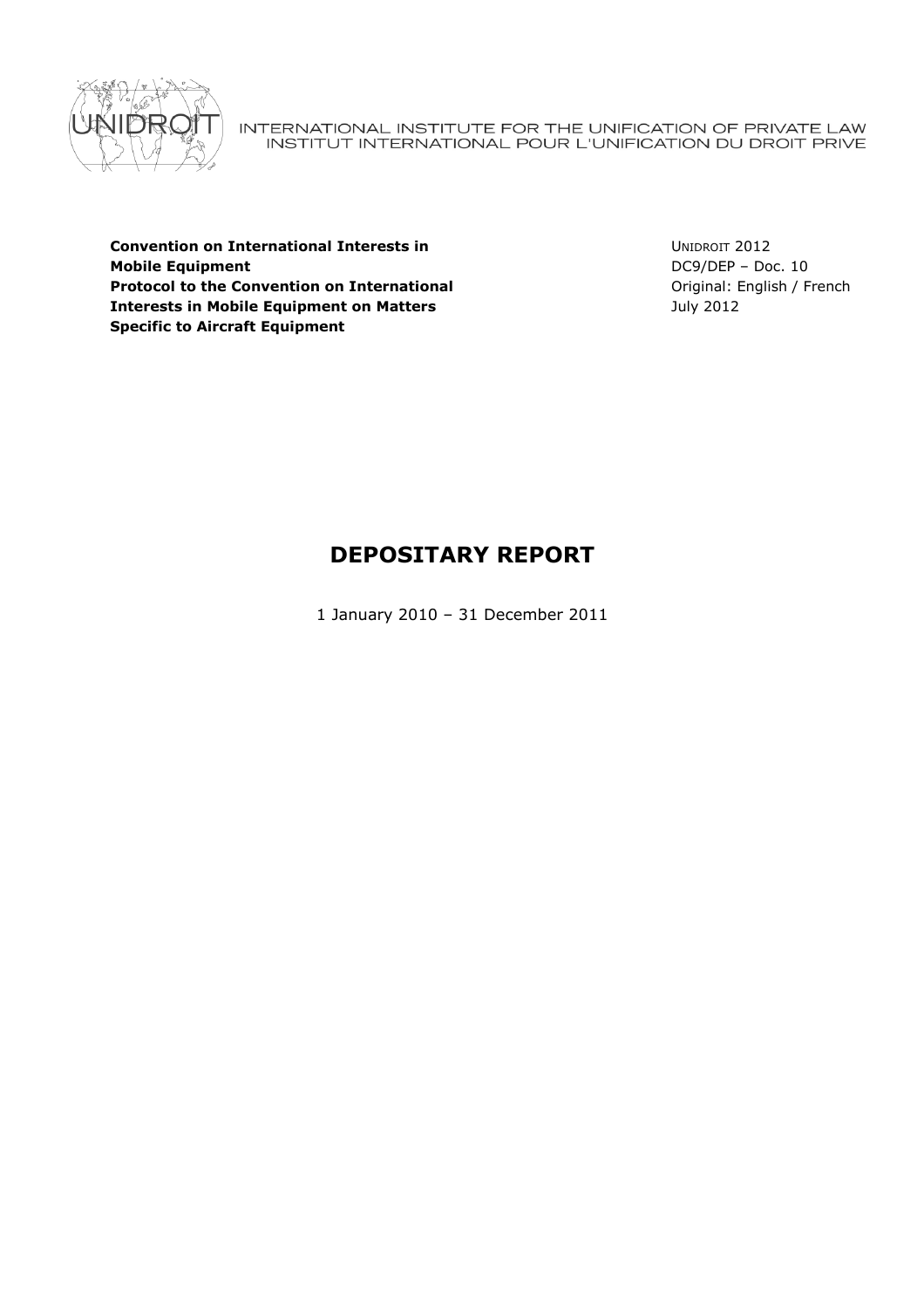

INTERNATIONAL INSTITUTE FOR THE UNIFICATION OF PRIVATE LAW<br>INSTITUT INTERNATIONAL POUR L'UNIFICATION DU DROIT PRIVE

**Convention on International Interests in Mobile Equipment Protocol to the Convention on International Interests in Mobile Equipment on Matters Specific to Aircraft Equipment** 

UNIDROIT 2012 DC9/DEP – Doc. 10 Original: English / French July 2012

# **DEPOSITARY REPORT**

1 January 2010 – 31 December 2011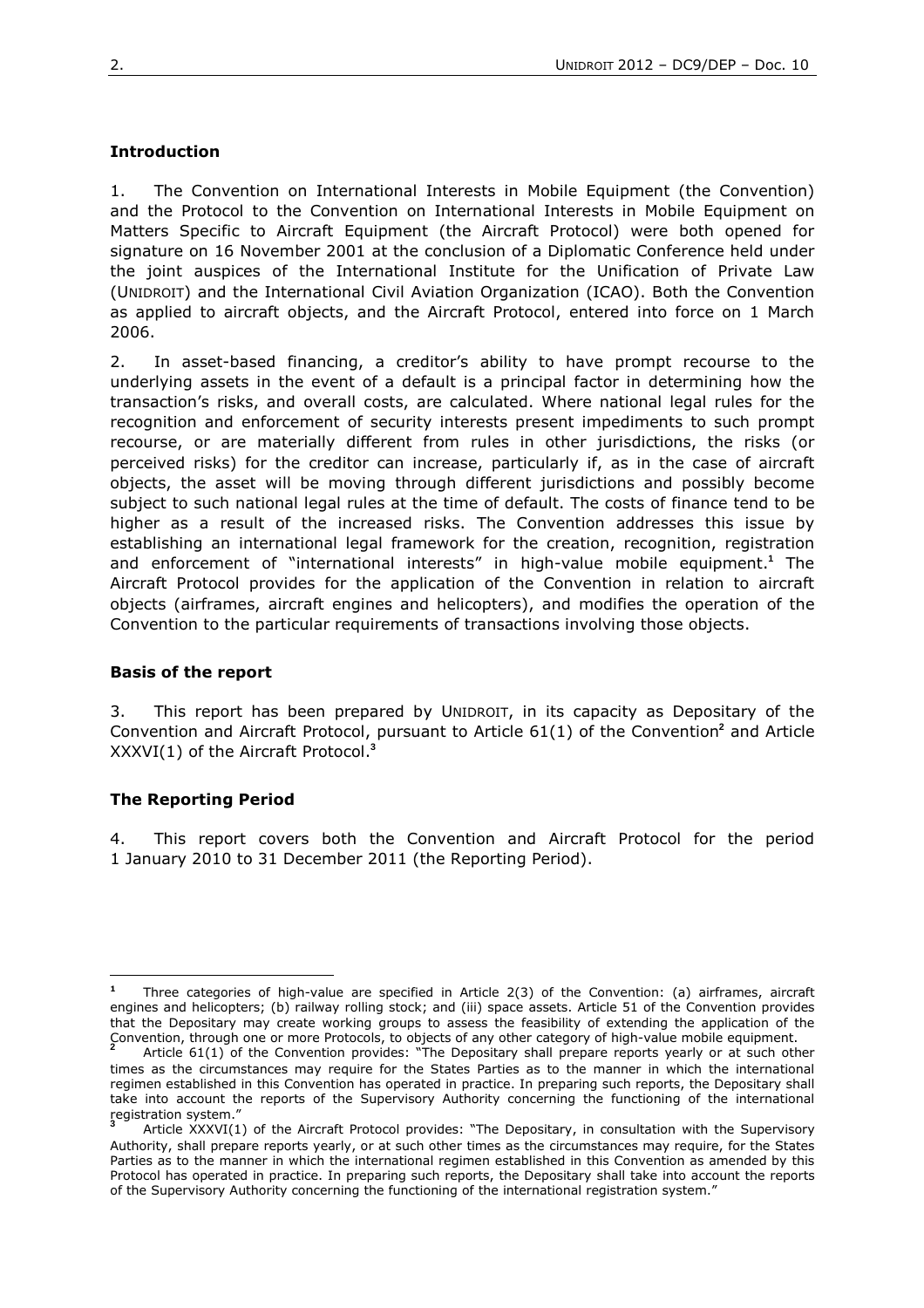# **Introduction**

1. The Convention on International Interests in Mobile Equipment (the Convention) and the Protocol to the Convention on International Interests in Mobile Equipment on Matters Specific to Aircraft Equipment (the Aircraft Protocol) were both opened for signature on 16 November 2001 at the conclusion of a Diplomatic Conference held under the joint auspices of the International Institute for the Unification of Private Law (UNIDROIT) and the International Civil Aviation Organization (ICAO). Both the Convention as applied to aircraft objects, and the Aircraft Protocol, entered into force on 1 March 2006.

2. In asset-based financing, a creditor's ability to have prompt recourse to the underlying assets in the event of a default is a principal factor in determining how the transaction's risks, and overall costs, are calculated. Where national legal rules for the recognition and enforcement of security interests present impediments to such prompt recourse, or are materially different from rules in other jurisdictions, the risks (or perceived risks) for the creditor can increase, particularly if, as in the case of aircraft objects, the asset will be moving through different jurisdictions and possibly become subject to such national legal rules at the time of default. The costs of finance tend to be higher as a result of the increased risks. The Convention addresses this issue by establishing an international legal framework for the creation, recognition, registration and enforcement of "international interests" in high-value mobile equipment.**<sup>1</sup>** The Aircraft Protocol provides for the application of the Convention in relation to aircraft objects (airframes, aircraft engines and helicopters), and modifies the operation of the Convention to the particular requirements of transactions involving those objects.

## **Basis of the report**

3. This report has been prepared by UNIDROIT, in its capacity as Depositary of the Convention and Aircraft Protocol, pursuant to Article 61(1) of the Convention<sup>2</sup> and Article XXXVI(1) of the Aircraft Protocol.**<sup>3</sup>**

# **The Reporting Period**

 $\overline{a}$ 

4. This report covers both the Convention and Aircraft Protocol for the period 1 January 2010 to 31 December 2011 (the Reporting Period).

**<sup>1</sup>** Three categories of high-value are specified in Article 2(3) of the Convention: (a) airframes, aircraft engines and helicopters; (b) railway rolling stock; and (iii) space assets. Article 51 of the Convention provides that the Depositary may create working groups to assess the feasibility of extending the application of the Convention, through one or more Protocols, to objects of any other category of high-value mobile equipment. **2**

Article 61(1) of the Convention provides: "The Depositary shall prepare reports yearly or at such other times as the circumstances may require for the States Parties as to the manner in which the international regimen established in this Convention has operated in practice. In preparing such reports, the Depositary shall take into account the reports of the Supervisory Authority concerning the functioning of the international registration system." **3**

Article XXXVI(1) of the Aircraft Protocol provides: "The Depositary, in consultation with the Supervisory Authority, shall prepare reports yearly, or at such other times as the circumstances may require, for the States Parties as to the manner in which the international regimen established in this Convention as amended by this Protocol has operated in practice. In preparing such reports, the Depositary shall take into account the reports of the Supervisory Authority concerning the functioning of the international registration system."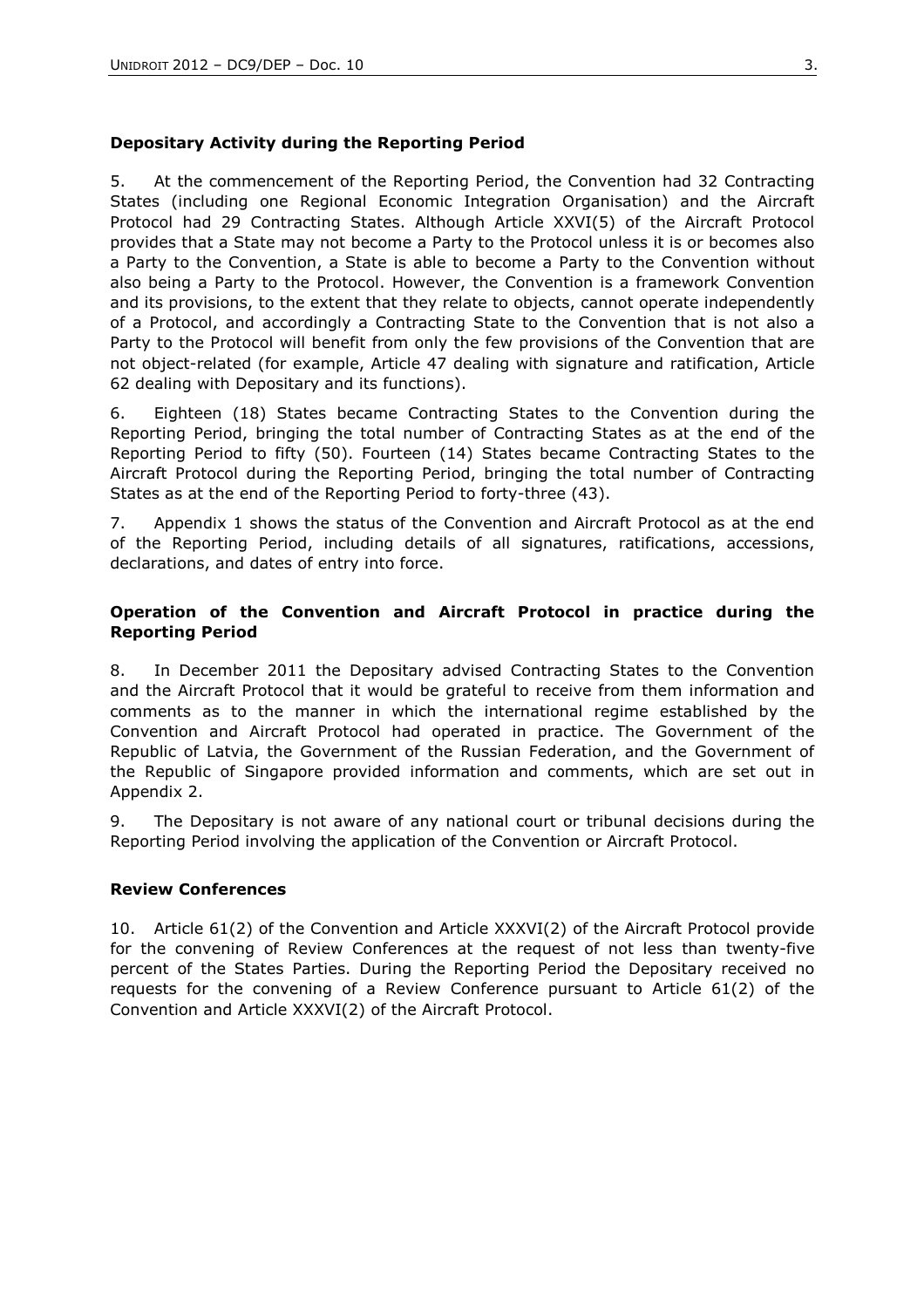# **Depositary Activity during the Reporting Period**

5. At the commencement of the Reporting Period, the Convention had 32 Contracting States (including one Regional Economic Integration Organisation) and the Aircraft Protocol had 29 Contracting States. Although Article XXVI(5) of the Aircraft Protocol provides that a State may not become a Party to the Protocol unless it is or becomes also a Party to the Convention, a State is able to become a Party to the Convention without also being a Party to the Protocol. However, the Convention is a framework Convention and its provisions, to the extent that they relate to objects, cannot operate independently of a Protocol, and accordingly a Contracting State to the Convention that is not also a Party to the Protocol will benefit from only the few provisions of the Convention that are not object-related (for example, Article 47 dealing with signature and ratification, Article 62 dealing with Depositary and its functions).

6. Eighteen (18) States became Contracting States to the Convention during the Reporting Period, bringing the total number of Contracting States as at the end of the Reporting Period to fifty (50). Fourteen (14) States became Contracting States to the Aircraft Protocol during the Reporting Period, bringing the total number of Contracting States as at the end of the Reporting Period to forty-three (43).

7. Appendix 1 shows the status of the Convention and Aircraft Protocol as at the end of the Reporting Period, including details of all signatures, ratifications, accessions, declarations, and dates of entry into force.

# **Operation of the Convention and Aircraft Protocol in practice during the Reporting Period**

8. In December 2011 the Depositary advised Contracting States to the Convention and the Aircraft Protocol that it would be grateful to receive from them information and comments as to the manner in which the international regime established by the Convention and Aircraft Protocol had operated in practice. The Government of the Republic of Latvia, the Government of the Russian Federation, and the Government of the Republic of Singapore provided information and comments, which are set out in Appendix 2.

9. The Depositary is not aware of any national court or tribunal decisions during the Reporting Period involving the application of the Convention or Aircraft Protocol.

## **Review Conferences**

10. Article 61(2) of the Convention and Article XXXVI(2) of the Aircraft Protocol provide for the convening of Review Conferences at the request of not less than twenty-five percent of the States Parties. During the Reporting Period the Depositary received no requests for the convening of a Review Conference pursuant to Article 61(2) of the Convention and Article XXXVI(2) of the Aircraft Protocol.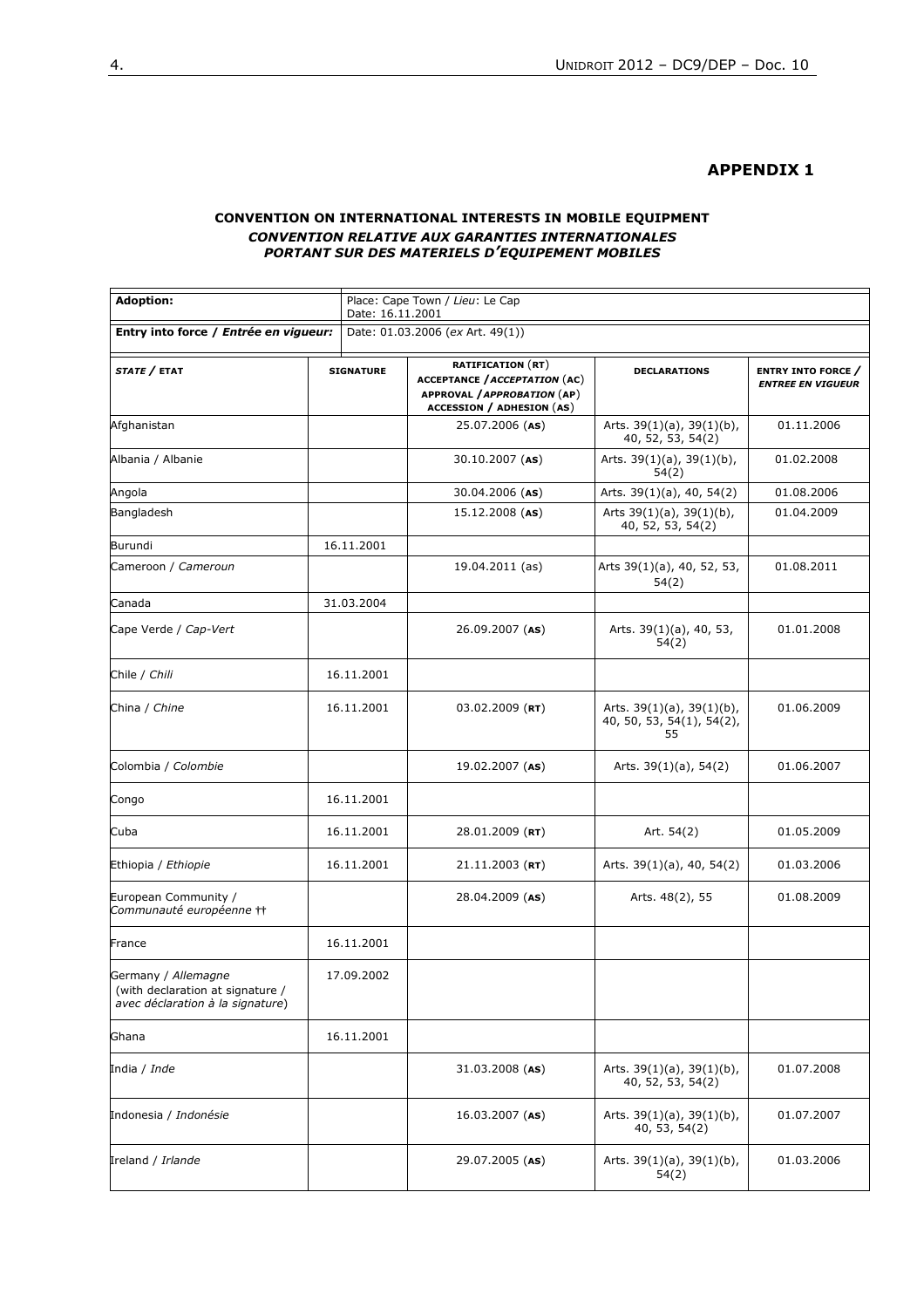#### **APPENDIX 1**

#### **CONVENTION ON INTERNATIONAL INTERESTS IN MOBILE EQUIPMENT** *CONVENTION RELATIVE AUX GARANTIES INTERNATIONALES PORTANT SUR DES MATERIELS D'EQUIPEMENT MOBILES*

| <b>Adoption:</b><br>Entry into force / Entrée en vigueur:                                   |  | Place: Cape Town / Lieu: Le Cap<br>Date: 16.11.2001 |                                                                                                                                     |                                                                    |                                                       |
|---------------------------------------------------------------------------------------------|--|-----------------------------------------------------|-------------------------------------------------------------------------------------------------------------------------------------|--------------------------------------------------------------------|-------------------------------------------------------|
|                                                                                             |  | Date: 01.03.2006 (ex Art. 49(1))                    |                                                                                                                                     |                                                                    |                                                       |
| STATE / ETAT                                                                                |  | <b>SIGNATURE</b>                                    | <b>RATIFICATION (RT)</b><br><b>ACCEPTANCE / ACCEPTATION (AC)</b><br>APPROVAL / APPROBATION (AP)<br><b>ACCESSION / ADHESION (AS)</b> | <b>DECLARATIONS</b>                                                | <b>ENTRY INTO FORCE /</b><br><b>ENTREE EN VIGUEUR</b> |
| Afghanistan                                                                                 |  |                                                     | 25.07.2006 (AS)                                                                                                                     | Arts. $39(1)(a)$ , $39(1)(b)$ ,<br>40, 52, 53, 54(2)               | 01.11.2006                                            |
| Albania / Albanie                                                                           |  |                                                     | 30.10.2007 (AS)                                                                                                                     | Arts. $39(1)(a)$ , $39(1)(b)$ ,<br>54(2)                           | 01.02.2008                                            |
| Angola                                                                                      |  |                                                     | 30.04.2006 (AS)                                                                                                                     | Arts. 39(1)(a), 40, 54(2)                                          | 01.08.2006                                            |
| Bangladesh                                                                                  |  |                                                     | 15.12.2008 (AS)                                                                                                                     | Arts $39(1)(a)$ , $39(1)(b)$ ,<br>40, 52, 53, 54(2)                | 01.04.2009                                            |
| Burundi                                                                                     |  | 16.11.2001                                          |                                                                                                                                     |                                                                    |                                                       |
| Cameroon / Cameroun                                                                         |  |                                                     | 19.04.2011 (as)                                                                                                                     | Arts 39(1)(a), 40, 52, 53,<br>54(2)                                | 01.08.2011                                            |
| Canada                                                                                      |  | 31.03.2004                                          |                                                                                                                                     |                                                                    |                                                       |
| Cape Verde / Cap-Vert                                                                       |  |                                                     | 26.09.2007 (AS)                                                                                                                     | Arts. 39(1)(a), 40, 53,<br>54(2)                                   | 01.01.2008                                            |
| Chile / Chili                                                                               |  | 16.11.2001                                          |                                                                                                                                     |                                                                    |                                                       |
| China / Chine                                                                               |  | 16.11.2001                                          | $03.02.2009$ (RT)                                                                                                                   | Arts. $39(1)(a)$ , $39(1)(b)$ ,<br>40, 50, 53, 54(1), 54(2),<br>55 | 01.06.2009                                            |
| Colombia / Colombie                                                                         |  |                                                     | $19.02.2007$ (AS)                                                                                                                   | Arts. $39(1)(a)$ , 54(2)                                           | 01.06.2007                                            |
| Congo                                                                                       |  | 16.11.2001                                          |                                                                                                                                     |                                                                    |                                                       |
| Cuba                                                                                        |  | 16.11.2001                                          | 28.01.2009 (RT)                                                                                                                     | Art. 54(2)                                                         | 01.05.2009                                            |
| Ethiopia / Ethiopie                                                                         |  | 16.11.2001                                          | $21.11.2003$ (RT)                                                                                                                   | Arts. 39(1)(a), 40, 54(2)                                          | 01.03.2006                                            |
| European Community /<br>Communauté européenne tt                                            |  |                                                     | 28.04.2009 (AS)                                                                                                                     | Arts. 48(2), 55                                                    | 01.08.2009                                            |
| France                                                                                      |  | 16.11.2001                                          |                                                                                                                                     |                                                                    |                                                       |
| Germany / Allemagne<br>(with declaration at signature /<br>avec déclaration à la signature) |  | 17.09.2002                                          |                                                                                                                                     |                                                                    |                                                       |
| Ghana                                                                                       |  | 16.11.2001                                          |                                                                                                                                     |                                                                    |                                                       |
| India / <i>Inde</i>                                                                         |  |                                                     | 31.03.2008 (AS)                                                                                                                     | Arts. $39(1)(a)$ , $39(1)(b)$ ,<br>40, 52, 53, 54(2)               | 01.07.2008                                            |
| Indonesia / Indonésie                                                                       |  |                                                     | $16.03.2007$ (AS)                                                                                                                   | Arts. $39(1)(a)$ , $39(1)(b)$ ,<br>40, 53, 54(2)                   | 01.07.2007                                            |
| Ireland / Irlande                                                                           |  |                                                     | 29.07.2005 (AS)                                                                                                                     | Arts. 39(1)(a), 39(1)(b),<br>54(2)                                 | 01.03.2006                                            |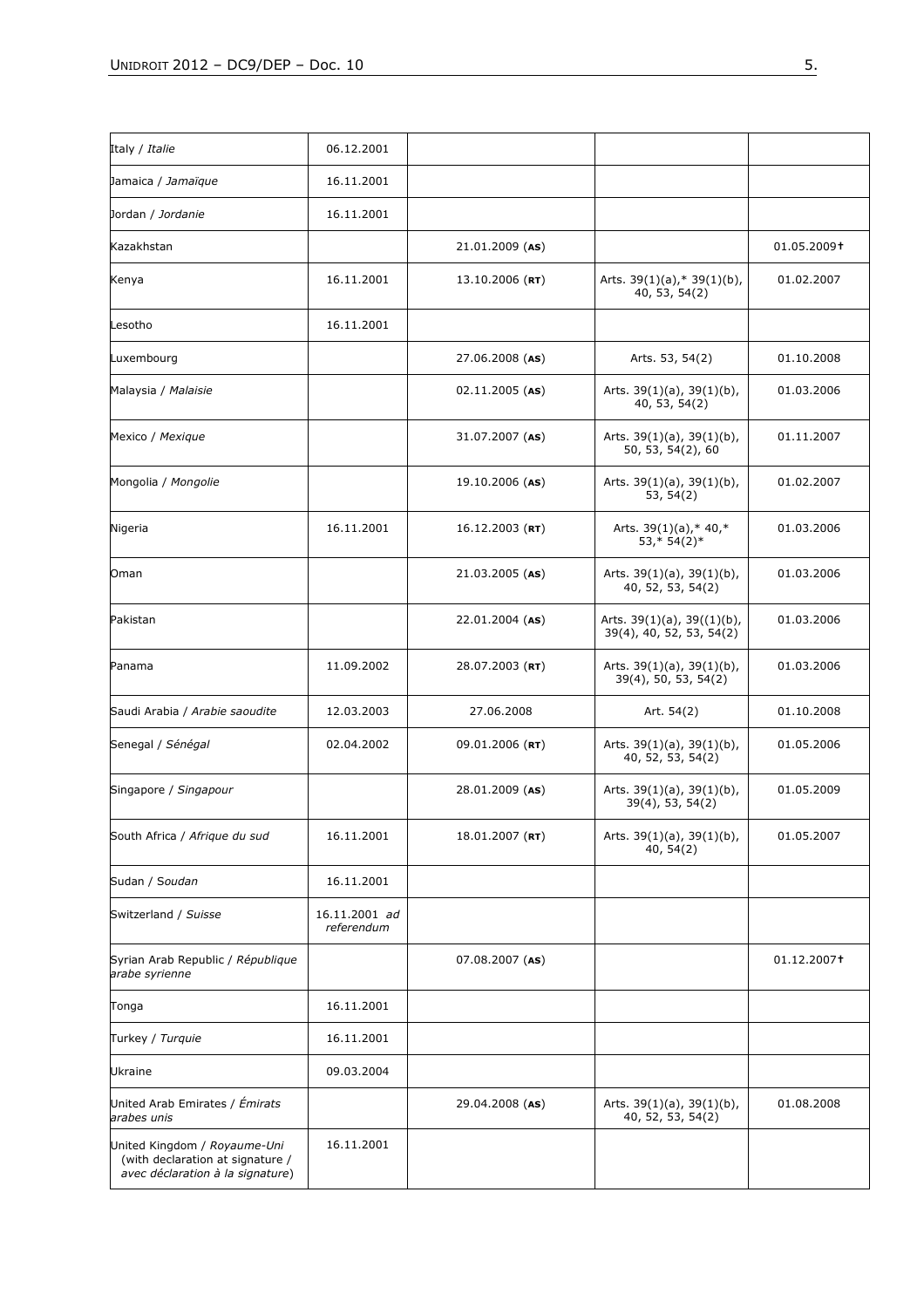| Italy / <i>Italie</i>                                                                                | 06.12.2001                  |                   |                                                              |             |
|------------------------------------------------------------------------------------------------------|-----------------------------|-------------------|--------------------------------------------------------------|-------------|
| Jamaica / Jamaïque                                                                                   | 16.11.2001                  |                   |                                                              |             |
| Jordan / Jordanie                                                                                    | 16.11.2001                  |                   |                                                              |             |
| Kazakhstan                                                                                           |                             | $21.01.2009$ (AS) |                                                              | 01.05.2009+ |
| Kenya                                                                                                | 16.11.2001                  | $13.10.2006$ (RT) | Arts. 39(1)(a),* 39(1)(b),<br>40, 53, 54(2)                  | 01.02.2007  |
| Lesotho                                                                                              | 16.11.2001                  |                   |                                                              |             |
| Luxembourg                                                                                           |                             | 27.06.2008 (AS)   | Arts. 53, 54(2)                                              | 01.10.2008  |
| Malaysia / Malaisie                                                                                  |                             | $02.11.2005$ (AS) | Arts. 39(1)(a), 39(1)(b),<br>40, 53, 54(2)                   | 01.03.2006  |
| Mexico / Mexique                                                                                     |                             | 31.07.2007 (AS)   | Arts. $39(1)(a)$ , $39(1)(b)$ ,<br>50, 53, 54(2), 60         | 01.11.2007  |
| Mongolia / Mongolie                                                                                  |                             | 19.10.2006 (AS)   | Arts. $39(1)(a)$ , $39(1)(b)$ ,<br>53, 54(2)                 | 01.02.2007  |
| Nigeria                                                                                              | 16.11.2001                  | $16.12.2003$ (RT) | Arts. $39(1)(a)$ ,* 40,*<br>$53,*54(2)*$                     | 01.03.2006  |
| Oman                                                                                                 |                             | 21.03.2005 (AS)   | Arts. $39(1)(a)$ , $39(1)(b)$ ,<br>40, 52, 53, 54(2)         | 01.03.2006  |
| Pakistan                                                                                             |                             | 22.01.2004 (AS)   | Arts. $39(1)(a)$ , $39((1)(b)$ ,<br>39(4), 40, 52, 53, 54(2) | 01.03.2006  |
| Panama                                                                                               | 11.09.2002                  | 28.07.2003 (RT)   | Arts. $39(1)(a)$ , $39(1)(b)$ ,<br>39(4), 50, 53, 54(2)      | 01.03.2006  |
| Saudi Arabia / Arabie saoudite                                                                       | 12.03.2003                  | 27.06.2008        | Art. 54(2)                                                   | 01.10.2008  |
| Senegal / Sénégal                                                                                    | 02.04.2002                  | $09.01.2006$ (RT) | Arts. 39(1)(a), 39(1)(b),<br>40, 52, 53, 54(2)               | 01.05.2006  |
| Singapore / Singapour                                                                                |                             | 28.01.2009 (AS)   | Arts. $39(1)(a)$ , $39(1)(b)$ ,<br>$39(4)$ , 53, 54(2)       | 01.05.2009  |
| South Africa / Afrique du sud                                                                        | 16.11.2001                  | 18.01.2007 (RT)   | Arts. 39(1)(a), 39(1)(b),<br>40, 54(2)                       | 01.05.2007  |
| Sudan / Soudan                                                                                       | 16.11.2001                  |                   |                                                              |             |
| Switzerland / Suisse                                                                                 | 16.11.2001 ad<br>referendum |                   |                                                              |             |
| Syrian Arab Republic / République<br>arabe syrienne                                                  |                             | 07.08.2007 (AS)   |                                                              | 01.12.2007† |
| Tonga                                                                                                | 16.11.2001                  |                   |                                                              |             |
| Turkey / Turquie                                                                                     | 16.11.2001                  |                   |                                                              |             |
| Ukraine                                                                                              | 09.03.2004                  |                   |                                                              |             |
| United Arab Emirates / Émirats<br>arabes unis                                                        |                             | 29.04.2008 (AS)   | Arts. $39(1)(a)$ , $39(1)(b)$ ,<br>40, 52, 53, 54(2)         | 01.08.2008  |
| United Kingdom / Royaume-Uni<br>(with declaration at signature /<br>avec déclaration à la signature) | 16.11.2001                  |                   |                                                              |             |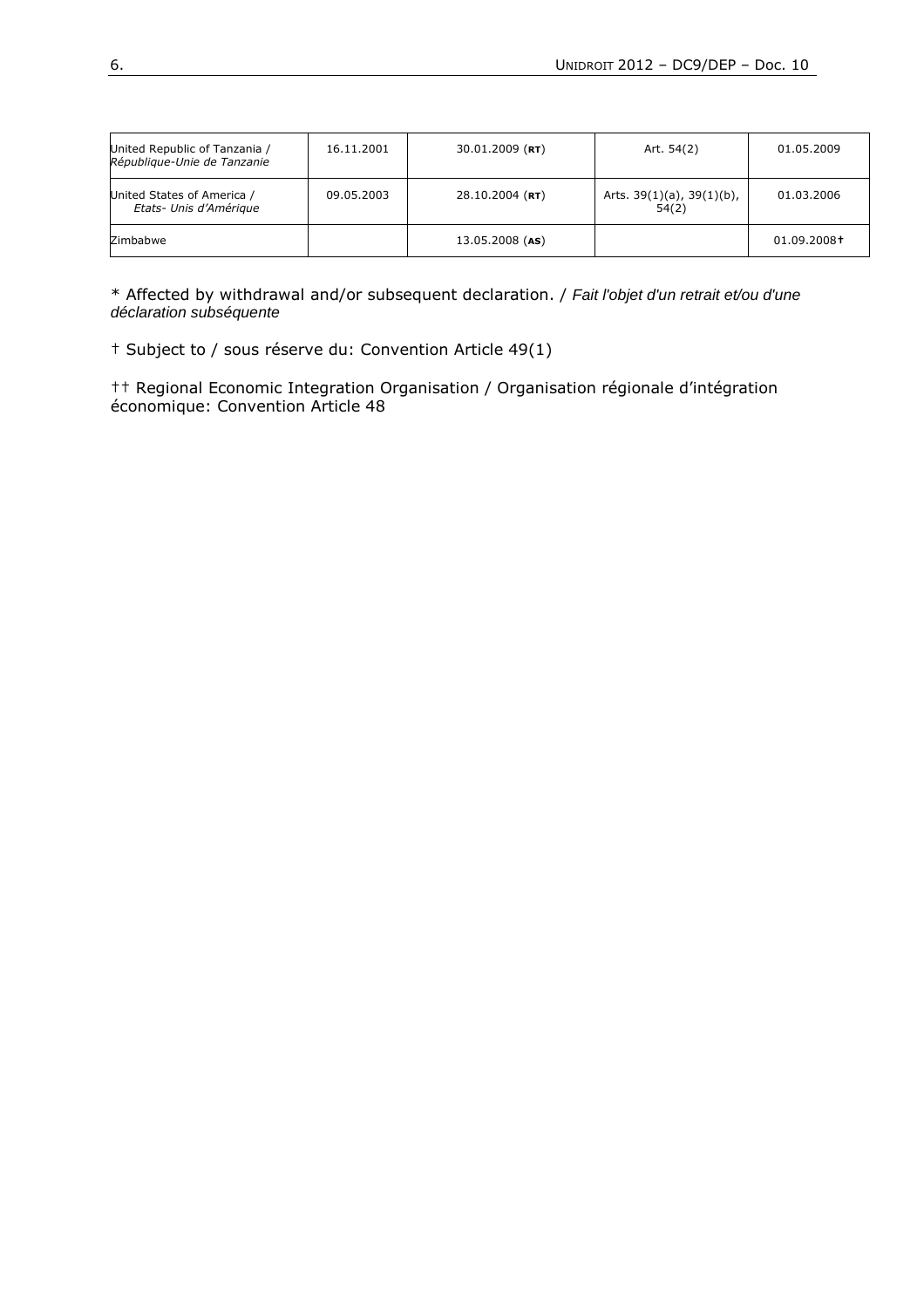| United Republic of Tanzania /<br>République-Unie de Tanzanie | 16.11.2001 | $30.01.2009$ (RT) | Art. 54(2)                               | 01.05.2009  |
|--------------------------------------------------------------|------------|-------------------|------------------------------------------|-------------|
| United States of America /<br>Etats- Unis d'Amérique         | 09.05.2003 | $28.10.2004$ (RT) | Arts. $39(1)(a)$ , $39(1)(b)$ ,<br>54(2) | 01.03.2006  |
| Zimbabwe                                                     |            | 13.05.2008 (AS)   |                                          | 01.09.2008+ |

\* Affected by withdrawal and/or subsequent declaration. / Fait l'objet d'un retrait et/ou d'une déclaration subséquente

† Subject to / sous réserve du: Convention Article 49(1)

†† Regional Economic Integration Organisation / Organisation régionale d'intégration économique: Convention Article 48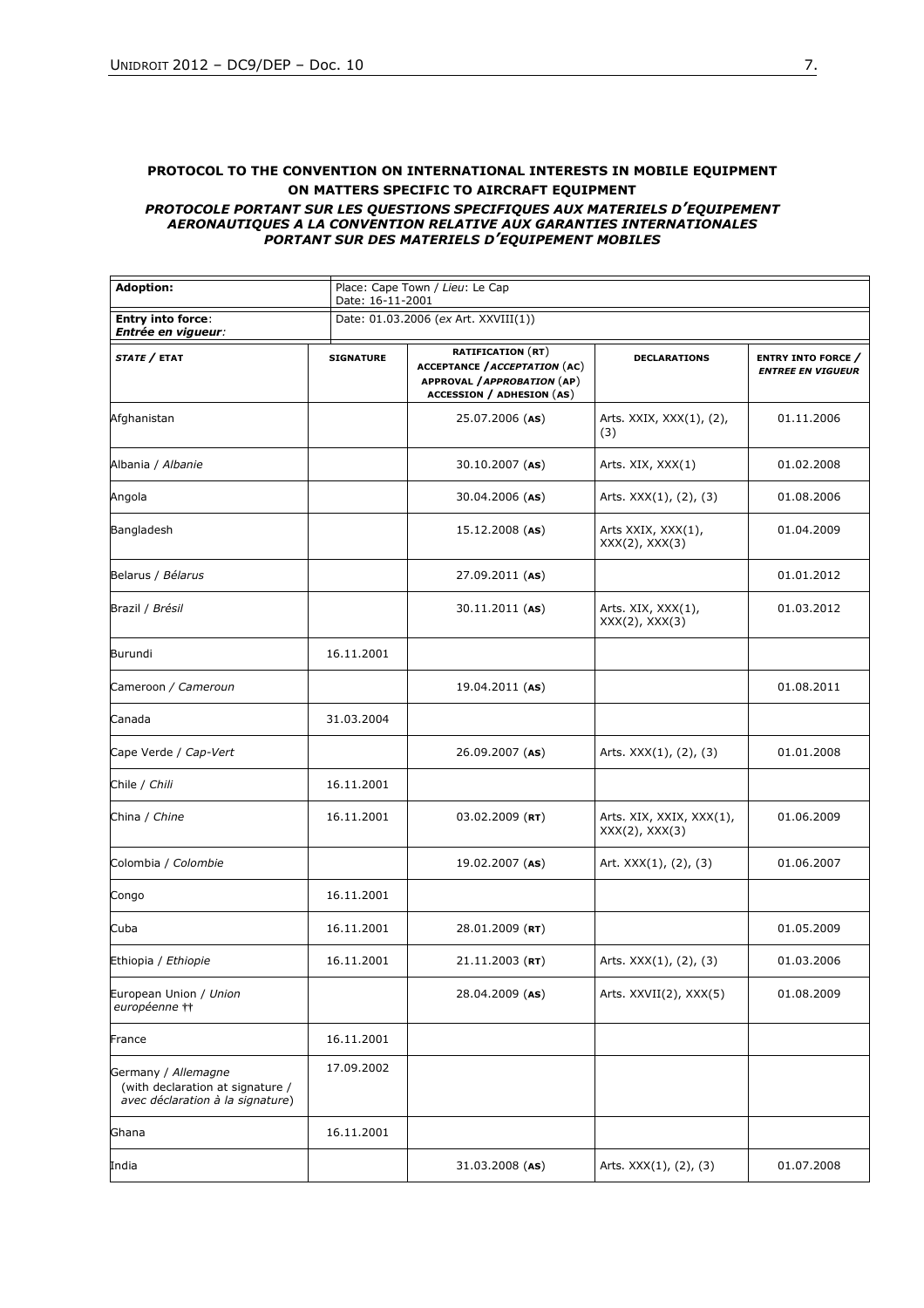#### **PROTOCOL TO THE CONVENTION ON INTERNATIONAL INTERESTS IN MOBILE EQUIPMENT ON MATTERS SPECIFIC TO AIRCRAFT EQUIPMENT**

#### *PROTOCOLE PORTANT SUR LES QUESTIONS SPECIFIQUES AUX MATERIELS D'EQUIPEMENT AERONAUTIQUES A LA CONVENTION RELATIVE AUX GARANTIES INTERNATIONALES PORTANT SUR DES MATERIELS D'EQUIPEMENT MOBILES*

| <b>Adoption:</b>                                                                            | Place: Cape Town / Lieu: Le Cap<br>Date: 16-11-2001<br>Date: 01.03.2006 (ex Art. XXVIII(1)) |                                                                                                                                     |                                                 |                                                       |  |
|---------------------------------------------------------------------------------------------|---------------------------------------------------------------------------------------------|-------------------------------------------------------------------------------------------------------------------------------------|-------------------------------------------------|-------------------------------------------------------|--|
| <b>Entry into force:</b><br>Entrée en vigueur:                                              |                                                                                             |                                                                                                                                     |                                                 |                                                       |  |
| STATE / ETAT                                                                                | <b>SIGNATURE</b>                                                                            | <b>RATIFICATION (RT)</b><br><b>ACCEPTANCE / ACCEPTATION (AC)</b><br>APPROVAL / APPROBATION (AP)<br><b>ACCESSION / ADHESION (AS)</b> | <b>DECLARATIONS</b>                             | <b>ENTRY INTO FORCE /</b><br><b>ENTREE EN VIGUEUR</b> |  |
| Afghanistan                                                                                 |                                                                                             | 25.07.2006 (AS)                                                                                                                     | Arts. XXIX, XXX(1), (2),<br>(3)                 | 01.11.2006                                            |  |
| Albania / Albanie                                                                           |                                                                                             | $30.10.2007$ (AS)                                                                                                                   | Arts. XIX, XXX(1)                               | 01.02.2008                                            |  |
| Angola                                                                                      |                                                                                             | 30.04.2006 (AS)                                                                                                                     | Arts. XXX(1), (2), (3)                          | 01.08.2006                                            |  |
| Bangladesh                                                                                  |                                                                                             | 15.12.2008 (AS)                                                                                                                     | Arts XXIX, XXX(1),<br>$XXX(2)$ , $XXX(3)$       | 01.04.2009                                            |  |
| Belarus / Bélarus                                                                           |                                                                                             | 27.09.2011 (AS)                                                                                                                     |                                                 | 01.01.2012                                            |  |
| Brazil / Brésil                                                                             |                                                                                             | $30.11.2011$ (AS)                                                                                                                   | Arts. XIX, XXX(1),<br>$XXX(2)$ , $XXX(3)$       | 01.03.2012                                            |  |
| Burundi                                                                                     | 16.11.2001                                                                                  |                                                                                                                                     |                                                 |                                                       |  |
| Cameroon / Cameroun                                                                         |                                                                                             | 19.04.2011 (AS)                                                                                                                     |                                                 | 01.08.2011                                            |  |
| Canada                                                                                      | 31.03.2004                                                                                  |                                                                                                                                     |                                                 |                                                       |  |
| Cape Verde / Cap-Vert                                                                       |                                                                                             | 26.09.2007 (AS)                                                                                                                     | Arts. XXX(1), (2), (3)                          | 01.01.2008                                            |  |
| Chile / Chili                                                                               | 16.11.2001                                                                                  |                                                                                                                                     |                                                 |                                                       |  |
| China / Chine                                                                               | 16.11.2001                                                                                  | $03.02.2009$ (RT)                                                                                                                   | Arts. XIX, XXIX, XXX(1),<br>$XXX(2)$ , $XXX(3)$ | 01.06.2009                                            |  |
| Colombia / Colombie                                                                         |                                                                                             | 19.02.2007 (AS)                                                                                                                     | Art. XXX(1), (2), (3)                           | 01.06.2007                                            |  |
| Congo                                                                                       | 16.11.2001                                                                                  |                                                                                                                                     |                                                 |                                                       |  |
| Cuba                                                                                        | 16.11.2001                                                                                  | 28.01.2009 (RT)                                                                                                                     |                                                 | 01.05.2009                                            |  |
| Ethiopia / Ethiopie                                                                         | 16.11.2001                                                                                  | $21.11.2003$ (RT)                                                                                                                   | Arts. XXX(1), (2), (3)                          | 01.03.2006                                            |  |
| European Union / Union<br>européenne ††                                                     |                                                                                             | 28.04.2009 (AS)                                                                                                                     | Arts. XXVII(2), XXX(5)                          | 01.08.2009                                            |  |
| France                                                                                      | 16.11.2001                                                                                  |                                                                                                                                     |                                                 |                                                       |  |
| Germany / Allemagne<br>(with declaration at signature /<br>avec déclaration à la signature) | 17.09.2002                                                                                  |                                                                                                                                     |                                                 |                                                       |  |
| Ghana                                                                                       | 16.11.2001                                                                                  |                                                                                                                                     |                                                 |                                                       |  |
| India                                                                                       |                                                                                             | 31.03.2008 (AS)                                                                                                                     | Arts. XXX(1), (2), (3)                          | 01.07.2008                                            |  |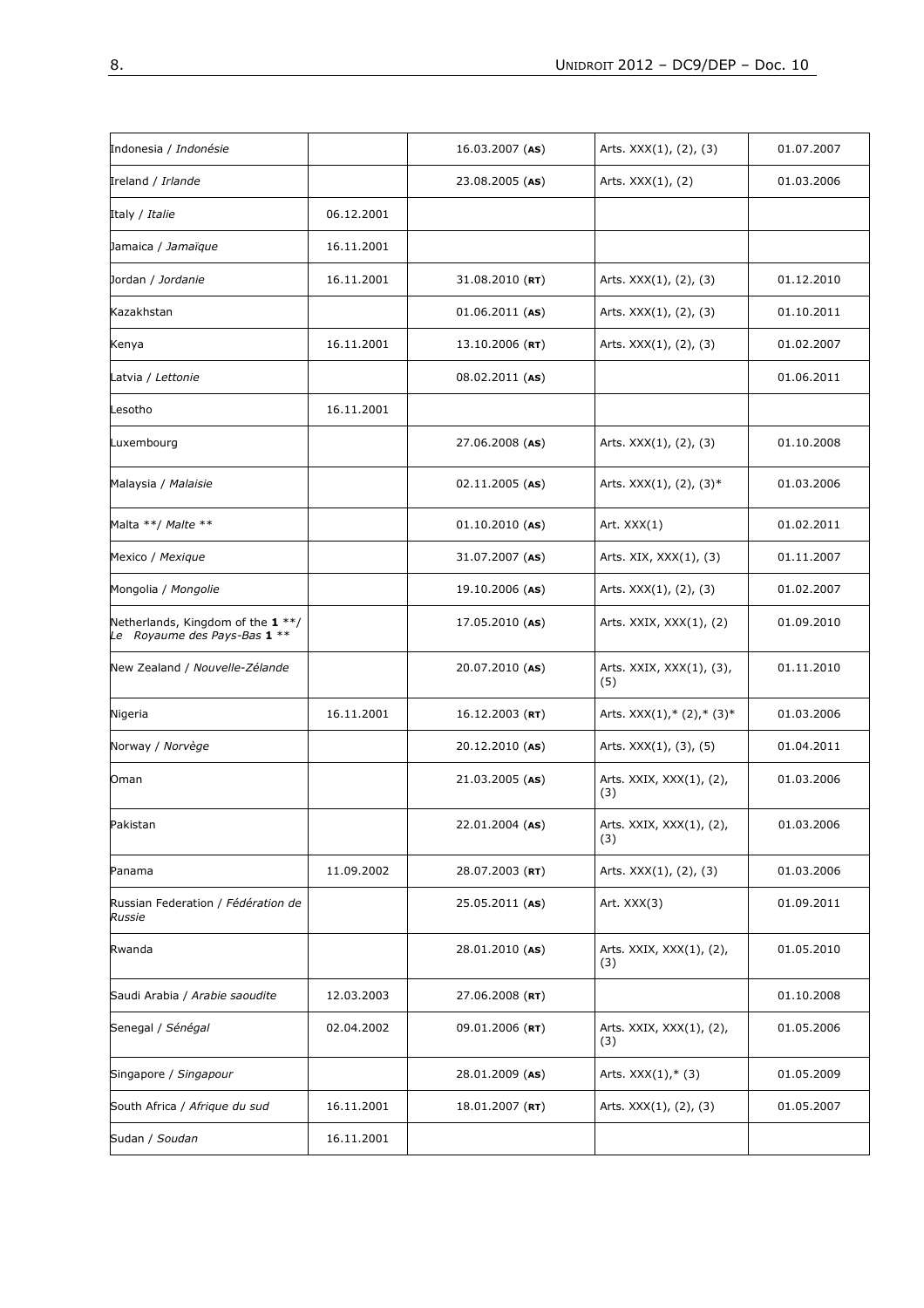| Indonesia / <i>Indonésie</i>                                      |            | $16.03.2007$ (AS) | Arts. XXX(1), (2), (3)          | 01.07.2007 |
|-------------------------------------------------------------------|------------|-------------------|---------------------------------|------------|
| Ireland / Irlande                                                 |            | 23.08.2005 (AS)   | Arts. $XXX(1)$ , $(2)$          | 01.03.2006 |
| Italy / <i>Italie</i>                                             | 06.12.2001 |                   |                                 |            |
| Jamaica / Jamaïque                                                | 16.11.2001 |                   |                                 |            |
| Jordan / Jordanie                                                 | 16.11.2001 | $31.08.2010$ (RT) | Arts. XXX(1), (2), (3)          | 01.12.2010 |
| Kazakhstan                                                        |            | $01.06.2011$ (AS) | Arts. XXX(1), (2), (3)          | 01.10.2011 |
| Kenya                                                             | 16.11.2001 | $13.10.2006$ (RT) | Arts. XXX(1), (2), (3)          | 01.02.2007 |
| Latvia / Lettonie                                                 |            | $08.02.2011$ (AS) |                                 | 01.06.2011 |
| Lesotho                                                           | 16.11.2001 |                   |                                 |            |
| Luxembourg                                                        |            | 27.06.2008 (AS)   | Arts. XXX(1), (2), (3)          | 01.10.2008 |
| Malaysia / Malaisie                                               |            | $02.11.2005$ (AS) | Arts. XXX(1), (2), (3)*         | 01.03.2006 |
| Malta **/ Malte **                                                |            | $01.10.2010$ (AS) | Art. XXX(1)                     | 01.02.2011 |
| Mexico / Mexique                                                  |            | 31.07.2007 (AS)   | Arts. XIX, XXX(1), (3)          | 01.11.2007 |
| Mongolia / Mongolie                                               |            | 19.10.2006 (AS)   | Arts. XXX(1), (2), (3)          | 01.02.2007 |
| Netherlands, Kingdom of the 1 **/<br>Le Royaume des Pays-Bas 1 ** |            | $17.05.2010$ (AS) | Arts. XXIX, XXX(1), (2)         | 01.09.2010 |
| New Zealand / Nouvelle-Zélande                                    |            | 20.07.2010 (AS)   | Arts. XXIX, XXX(1), (3),<br>(5) | 01.11.2010 |
| Nigeria                                                           | 16.11.2001 | $16.12.2003$ (RT) | Arts. $XXX(1), * (2), * (3) *$  | 01.03.2006 |
| Norway / Norvège                                                  |            | 20.12.2010 (AS)   | Arts. XXX(1), (3), (5)          | 01.04.2011 |
| Oman                                                              |            | 21.03.2005 (AS)   | Arts. XXIX, XXX(1), (2),<br>(3) | 01.03.2006 |
| Pakistan                                                          |            | $22.01.2004$ (AS) | Arts. XXIX, XXX(1), (2),<br>(3) | 01.03.2006 |
| Panama                                                            | 11.09.2002 | 28.07.2003 (RT)   | Arts. XXX(1), (2), (3)          | 01.03.2006 |
| Russian Federation / Fédération de<br><b>Russie</b>               |            | 25.05.2011 (AS)   | Art. XXX(3)                     | 01.09.2011 |
| Rwanda                                                            |            | 28.01.2010 (AS)   | Arts. XXIX, XXX(1), (2),<br>(3) | 01.05.2010 |
| Saudi Arabia / Arabie saoudite                                    | 12.03.2003 | 27.06.2008 (RT)   |                                 | 01.10.2008 |
| Senegal / Sénégal                                                 | 02.04.2002 | 09.01.2006 (RT)   | Arts. XXIX, XXX(1), (2),<br>(3) | 01.05.2006 |
| Singapore / Singapour                                             |            | 28.01.2009 (AS)   | Arts. $XXX(1), * (3)$           | 01.05.2009 |
| South Africa / Afrique du sud                                     | 16.11.2001 | $18.01.2007$ (RT) | Arts. XXX(1), (2), (3)          | 01.05.2007 |
| Sudan / Soudan                                                    | 16.11.2001 |                   |                                 |            |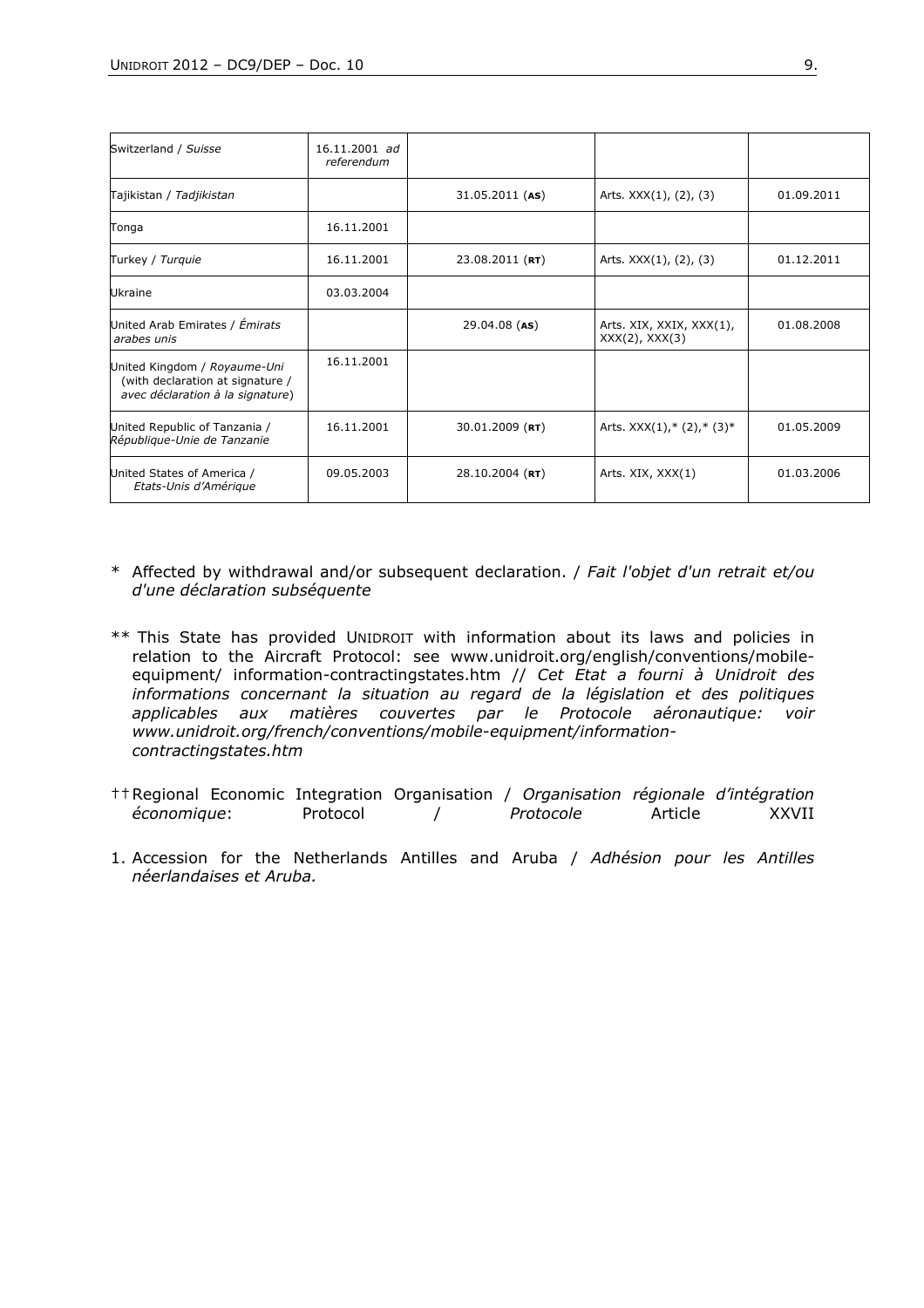| Switzerland / Suisse                                                                                 | 16.11.2001 ad<br>referendum |                   |                                                 |            |
|------------------------------------------------------------------------------------------------------|-----------------------------|-------------------|-------------------------------------------------|------------|
| Tajikistan / Tadjikistan                                                                             |                             | $31.05.2011$ (AS) | Arts. XXX(1), (2), (3)                          | 01.09.2011 |
| Tonga                                                                                                | 16.11.2001                  |                   |                                                 |            |
| Turkey / Turquie                                                                                     | 16.11.2001                  | $23.08.2011$ (RT) | Arts. XXX(1), (2), (3)                          | 01.12.2011 |
| Ukraine                                                                                              | 03.03.2004                  |                   |                                                 |            |
| United Arab Emirates / Émirats<br>arabes unis                                                        |                             | $29.04.08$ (AS)   | Arts. XIX, XXIX, XXX(1),<br>$XXX(2)$ , $XXX(3)$ | 01.08.2008 |
| United Kingdom / Royaume-Uni<br>(with declaration at signature /<br>avec déclaration à la signature) | 16.11.2001                  |                   |                                                 |            |
| United Republic of Tanzania /<br>République-Unie de Tanzanie                                         | 16.11.2001                  | $30.01.2009$ (RT) | Arts. $XXX(1), * (2), * (3)*$                   | 01.05.2009 |
| United States of America /<br>Etats-Unis d'Amérique                                                  | 09.05.2003                  | 28.10.2004 (RT)   | Arts. XIX, XXX(1)                               | 01.03.2006 |

- \* Affected by withdrawal and/or subsequent declaration. / *Fait l'objet d'un retrait et/ou d'une déclaration subséquente*
- \*\* This State has provided UNIDROIT with information about its laws and policies in relation to the Aircraft Protocol: see www.unidroit.org/english/conventions/mobileequipment/ information-contractingstates.htm // *Cet Etat a fourni à Unidroit des informations concernant la situation au regard de la législation et des politiques applicables aux matières couvertes par le Protocole aéronautique: voir www.unidroit.org/french/conventions/mobile-equipment/informationcontractingstates.htm*
- †† Regional Economic Integration Organisation / *Organisation régionale d'intégration économique*: Protocol /
- 1. Accession for the Netherlands Antilles and Aruba / *Adhésion pour les Antilles néerlandaises et Aruba.*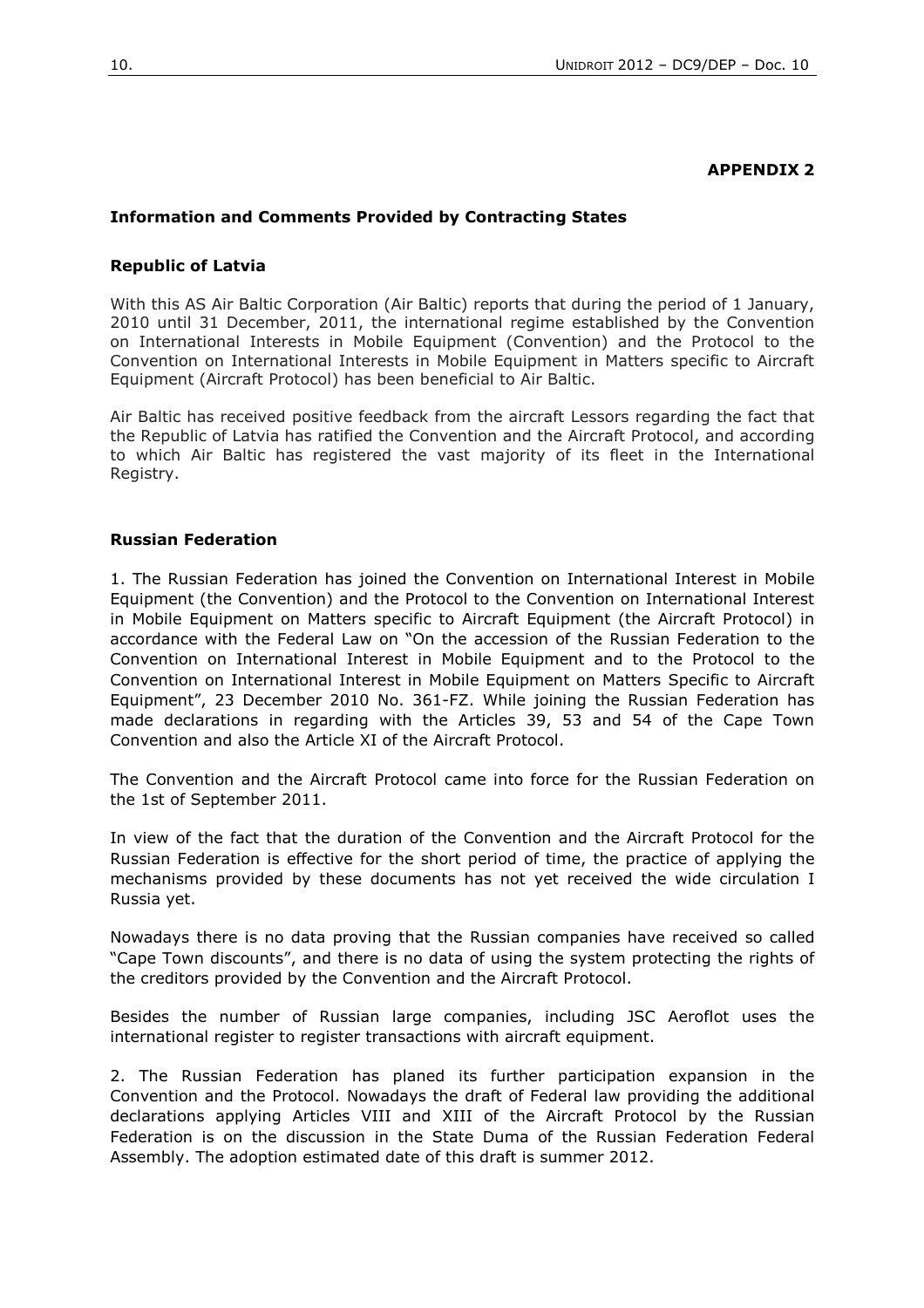#### **APPENDIX 2**

#### **Information and Comments Provided by Contracting States**

#### **Republic of Latvia**

With this AS Air Baltic Corporation (Air Baltic) reports that during the period of 1 January, 2010 until 31 December, 2011, the international regime established by the Convention on International Interests in Mobile Equipment (Convention) and the Protocol to the Convention on International Interests in Mobile Equipment in Matters specific to Aircraft Equipment (Aircraft Protocol) has been beneficial to Air Baltic.

Air Baltic has received positive feedback from the aircraft Lessors regarding the fact that the Republic of Latvia has ratified the Convention and the Aircraft Protocol, and according to which Air Baltic has registered the vast majority of its fleet in the International Registry.

#### **Russian Federation**

1. The Russian Federation has joined the Convention on International Interest in Mobile Equipment (the Convention) and the Protocol to the Convention on International Interest in Mobile Equipment on Matters specific to Aircraft Equipment (the Aircraft Protocol) in accordance with the Federal Law on "On the accession of the Russian Federation to the Convention on International Interest in Mobile Equipment and to the Protocol to the Convention on International Interest in Mobile Equipment on Matters Specific to Aircraft Equipment", 23 December 2010 No. 361-FZ. While joining the Russian Federation has made declarations in regarding with the Articles 39, 53 and 54 of the Cape Town Convention and also the Article XI of the Aircraft Protocol.

The Convention and the Aircraft Protocol came into force for the Russian Federation on the 1st of September 2011.

In view of the fact that the duration of the Convention and the Aircraft Protocol for the Russian Federation is effective for the short period of time, the practice of applying the mechanisms provided by these documents has not yet received the wide circulation I Russia yet.

Nowadays there is no data proving that the Russian companies have received so called "Cape Town discounts", and there is no data of using the system protecting the rights of the creditors provided by the Convention and the Aircraft Protocol.

Besides the number of Russian large companies, including JSC Aeroflot uses the international register to register transactions with aircraft equipment.

2. The Russian Federation has planed its further participation expansion in the Convention and the Protocol. Nowadays the draft of Federal law providing the additional declarations applying Articles VIII and XIII of the Aircraft Protocol by the Russian Federation is on the discussion in the State Duma of the Russian Federation Federal Assembly. The adoption estimated date of this draft is summer 2012.